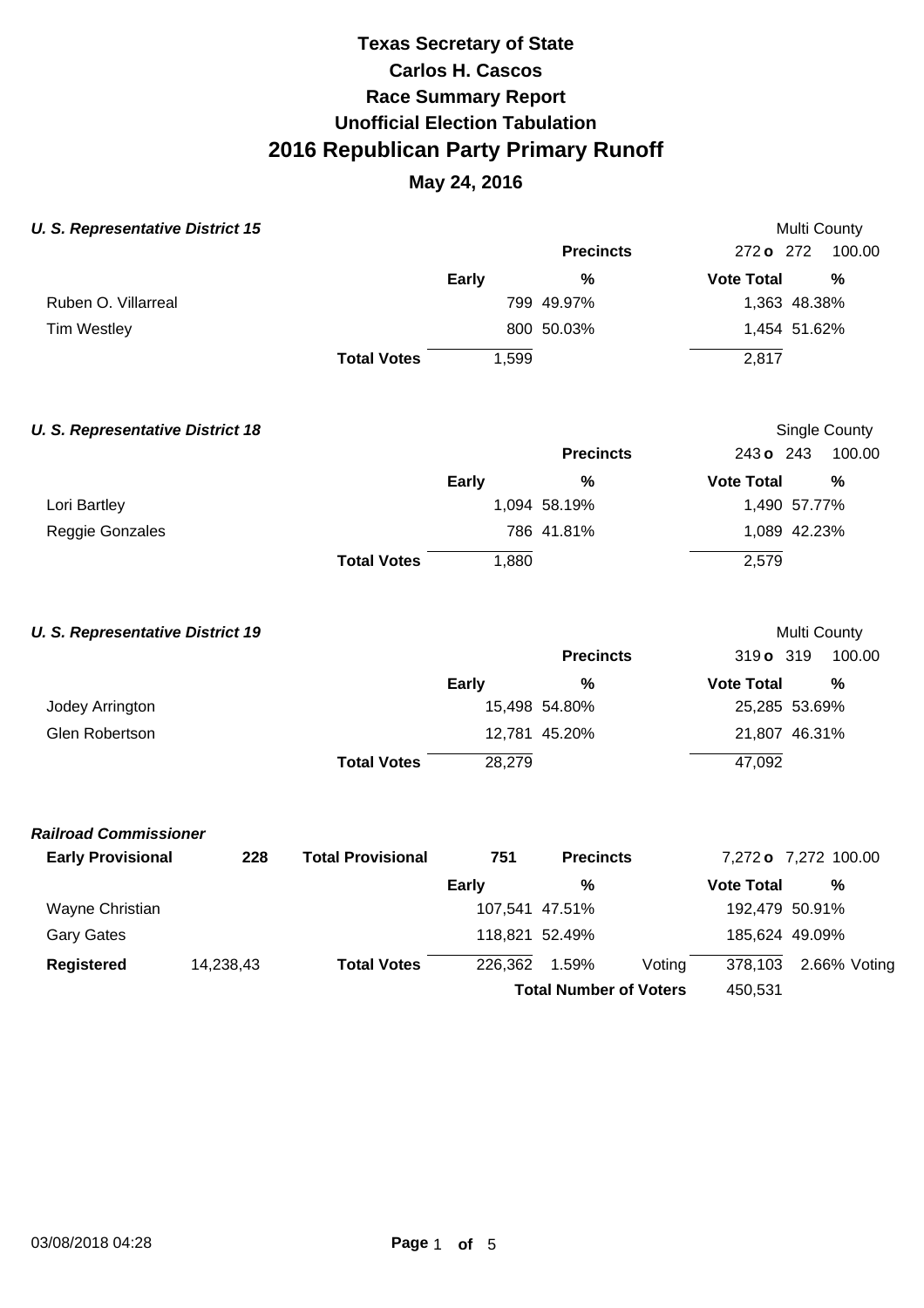| <b>U. S. Representative District 15</b> |           |                          |                | Multi County                  |                                    |
|-----------------------------------------|-----------|--------------------------|----------------|-------------------------------|------------------------------------|
|                                         |           |                          |                | <b>Precincts</b>              | 272 o 272<br>100.00                |
|                                         |           |                          | <b>Early</b>   | $\%$                          | <b>Vote Total</b><br>$\frac{0}{0}$ |
| Ruben O. Villarreal                     |           |                          |                | 799 49.97%                    | 1,363 48.38%                       |
| <b>Tim Westley</b>                      |           |                          |                | 800 50.03%                    | 1,454 51.62%                       |
|                                         |           | <b>Total Votes</b>       | 1,599          |                               | 2,817                              |
| <b>U. S. Representative District 18</b> |           |                          |                |                               | Single County                      |
|                                         |           |                          |                | <b>Precincts</b>              | 243 o 243<br>100.00                |
|                                         |           |                          | Early          | %                             | <b>Vote Total</b><br>$\frac{0}{0}$ |
| Lori Bartley                            |           |                          |                | 1,094 58.19%                  | 1,490 57.77%                       |
| Reggie Gonzales                         |           |                          |                | 786 41.81%                    | 1,089 42.23%                       |
|                                         |           | <b>Total Votes</b>       | 1,880          |                               | 2,579                              |
| <b>U. S. Representative District 19</b> |           |                          |                |                               | Multi County                       |
|                                         |           |                          |                | <b>Precincts</b>              | 319 o 319<br>100.00                |
|                                         |           |                          | Early          | $\frac{0}{0}$                 | <b>Vote Total</b><br>$\frac{0}{0}$ |
| Jodey Arrington                         |           |                          |                | 15,498 54.80%                 | 25,285 53.69%                      |
| <b>Glen Robertson</b>                   |           |                          |                | 12,781 45.20%                 | 21,807 46.31%                      |
|                                         |           | <b>Total Votes</b>       | 28,279         |                               | 47,092                             |
| <b>Railroad Commissioner</b>            |           |                          |                |                               |                                    |
| <b>Early Provisional</b>                | 228       | <b>Total Provisional</b> | 751            | <b>Precincts</b>              | 7,272 o 7,272 100.00               |
|                                         |           |                          | Early          | %                             | <b>Vote Total</b><br>$\%$          |
| Wayne Christian                         |           |                          | 107,541 47.51% |                               | 192,479 50.91%                     |
| <b>Gary Gates</b>                       |           |                          | 118,821 52.49% |                               | 185,624 49.09%                     |
| <b>Registered</b>                       | 14,238,43 | <b>Total Votes</b>       | 226,362        | 1.59%<br>Voting               | 378,103<br>2.66% Voting            |
|                                         |           |                          |                | <b>Total Number of Voters</b> | 450,531                            |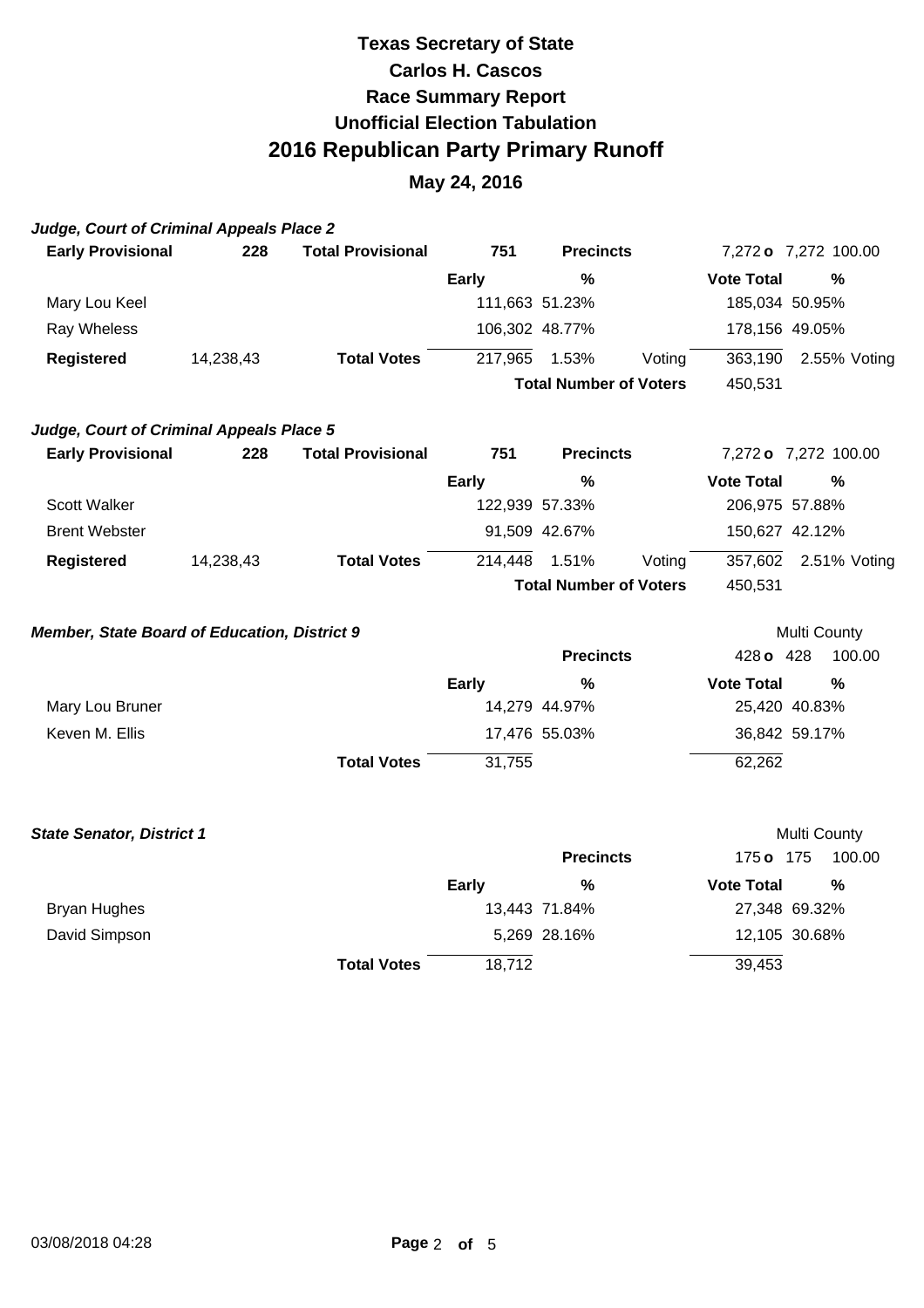| Judge, Court of Criminal Appeals Place 2            |           |                          |                |                               |        |                      |                     |
|-----------------------------------------------------|-----------|--------------------------|----------------|-------------------------------|--------|----------------------|---------------------|
| <b>Early Provisional</b>                            | 228       | <b>Total Provisional</b> | 751            | <b>Precincts</b>              |        | 7,272 o 7,272 100.00 |                     |
|                                                     |           |                          | <b>Early</b>   | %                             |        | <b>Vote Total</b>    | $\%$                |
| Mary Lou Keel                                       |           |                          | 111,663 51.23% |                               |        | 185,034 50.95%       |                     |
| Ray Wheless                                         |           |                          | 106,302 48.77% |                               |        | 178,156 49.05%       |                     |
| <b>Registered</b>                                   | 14,238,43 | <b>Total Votes</b>       | 217,965        | 1.53%                         | Voting | 363,190              | 2.55% Voting        |
|                                                     |           |                          |                | <b>Total Number of Voters</b> |        | 450,531              |                     |
| Judge, Court of Criminal Appeals Place 5            |           |                          |                |                               |        |                      |                     |
| <b>Early Provisional</b>                            | 228       | <b>Total Provisional</b> | 751            | <b>Precincts</b>              |        | 7,272 o 7,272 100.00 |                     |
|                                                     |           |                          | <b>Early</b>   | $\%$                          |        | <b>Vote Total</b>    | $\frac{0}{0}$       |
| Scott Walker                                        |           |                          | 122,939 57.33% |                               |        | 206,975 57.88%       |                     |
| <b>Brent Webster</b>                                |           |                          |                | 91,509 42.67%                 |        | 150,627 42.12%       |                     |
| <b>Registered</b>                                   | 14,238,43 | <b>Total Votes</b>       | 214,448        | 1.51%                         | Voting | 357,602              | 2.51% Voting        |
|                                                     |           |                          |                | <b>Total Number of Voters</b> |        | 450,531              |                     |
| <b>Member, State Board of Education, District 9</b> |           |                          |                |                               |        |                      | <b>Multi County</b> |
|                                                     |           |                          |                | <b>Precincts</b>              |        | 428 o 428            | 100.00              |
|                                                     |           |                          | <b>Early</b>   | $\%$                          |        | <b>Vote Total</b>    | %                   |
| Mary Lou Bruner                                     |           |                          |                | 14,279 44.97%                 |        | 25,420 40.83%        |                     |
| Keven M. Ellis                                      |           |                          |                | 17,476 55.03%                 |        | 36,842 59.17%        |                     |
|                                                     |           | <b>Total Votes</b>       | 31,755         |                               |        | 62,262               |                     |
| <b>State Senator, District 1</b>                    |           |                          |                |                               |        |                      | <b>Multi County</b> |
|                                                     |           |                          |                | <b>Precincts</b>              |        | 175 o 175            | 100.00              |
|                                                     |           |                          | <b>Early</b>   | %                             |        | <b>Vote Total</b>    | $\%$                |
| <b>Bryan Hughes</b>                                 |           |                          |                | 13,443 71.84%                 |        | 27,348 69.32%        |                     |
| David Simpson                                       |           |                          |                | 5,269 28.16%                  |        | 12,105 30.68%        |                     |
|                                                     |           | <b>Total Votes</b>       | 18,712         |                               |        | 39,453               |                     |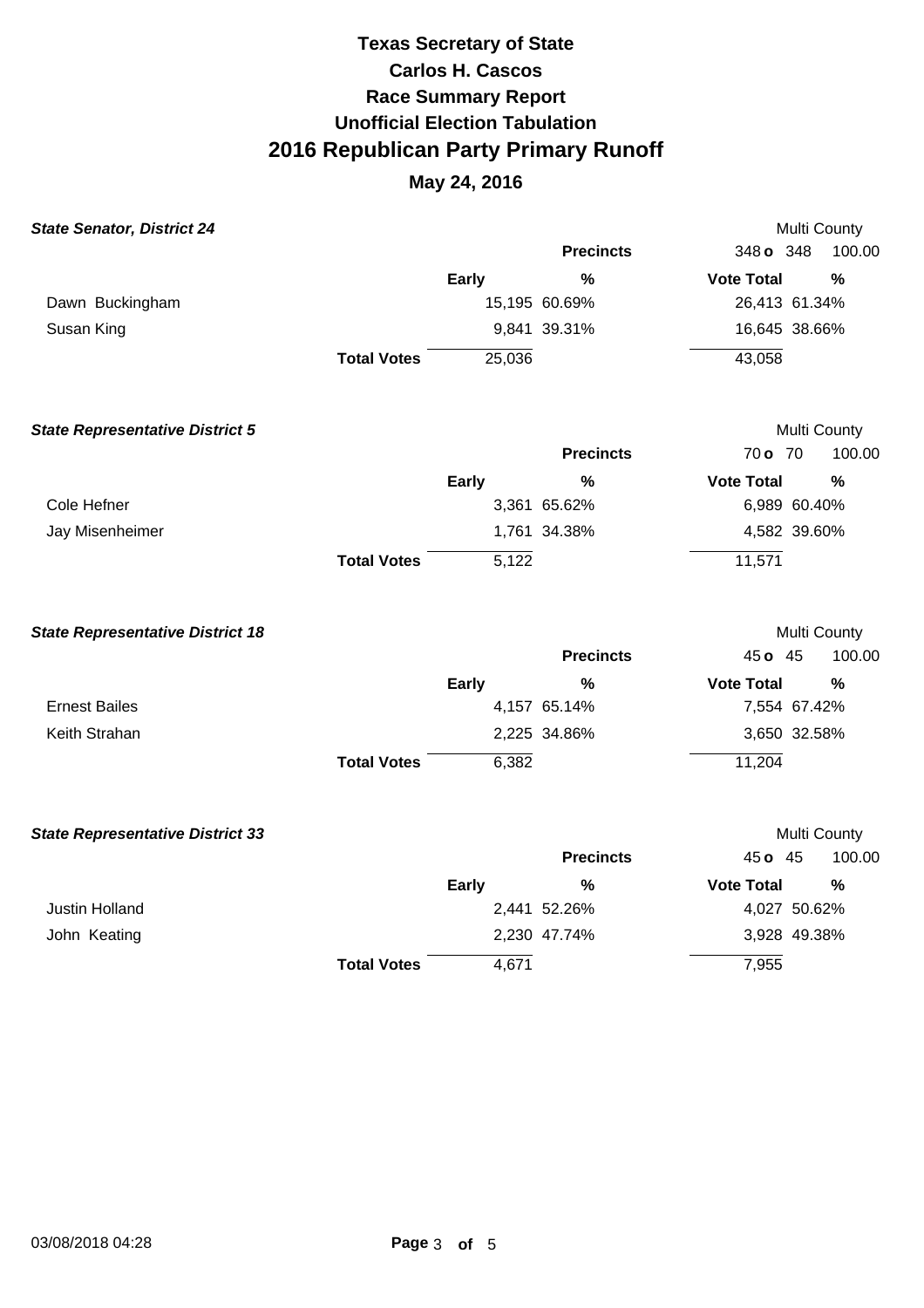| <b>State Senator, District 24</b>       |                    |              |                  | Multi County      |               |  |
|-----------------------------------------|--------------------|--------------|------------------|-------------------|---------------|--|
|                                         |                    |              | <b>Precincts</b> | 348 o 348         | 100.00        |  |
|                                         |                    | <b>Early</b> | $\frac{0}{0}$    | <b>Vote Total</b> | $\frac{0}{0}$ |  |
| Dawn Buckingham                         |                    |              | 15,195 60.69%    | 26,413 61.34%     |               |  |
| Susan King                              |                    |              | 9,841 39.31%     | 16,645 38.66%     |               |  |
|                                         | <b>Total Votes</b> | 25,036       |                  | 43,058            |               |  |
| <b>State Representative District 5</b>  |                    |              |                  | Multi County      |               |  |
|                                         |                    |              | <b>Precincts</b> | 70 o 70           | 100.00        |  |
|                                         |                    | Early        | %                | <b>Vote Total</b> | $\frac{0}{0}$ |  |
| Cole Hefner                             |                    |              | 3,361 65.62%     | 6,989 60.40%      |               |  |
| Jay Misenheimer                         |                    |              | 1,761 34.38%     |                   | 4,582 39.60%  |  |
|                                         | <b>Total Votes</b> | 5,122        |                  | 11,571            |               |  |
| <b>State Representative District 18</b> |                    |              |                  | Multi County      |               |  |
|                                         |                    |              | <b>Precincts</b> | 45 o 45           | 100.00        |  |
|                                         |                    | <b>Early</b> | %                | <b>Vote Total</b> | %             |  |
| <b>Ernest Bailes</b>                    |                    |              | 4,157 65.14%     | 7,554 67.42%      |               |  |
| Keith Strahan                           |                    |              | 2,225 34.86%     | 3,650 32.58%      |               |  |
|                                         | <b>Total Votes</b> | 6,382        |                  | 11,204            |               |  |
| <b>State Representative District 33</b> |                    |              |                  | Multi County      |               |  |
|                                         |                    |              | <b>Precincts</b> | 45 o 45           | 100.00        |  |
|                                         |                    | Early        | %                | <b>Vote Total</b> | %             |  |
| Justin Holland                          |                    |              | 2,441 52.26%     | 4,027 50.62%      |               |  |
| John Keating                            |                    |              | 2,230 47.74%     | 3,928 49.38%      |               |  |
|                                         | <b>Total Votes</b> | 4,671        |                  | 7,955             |               |  |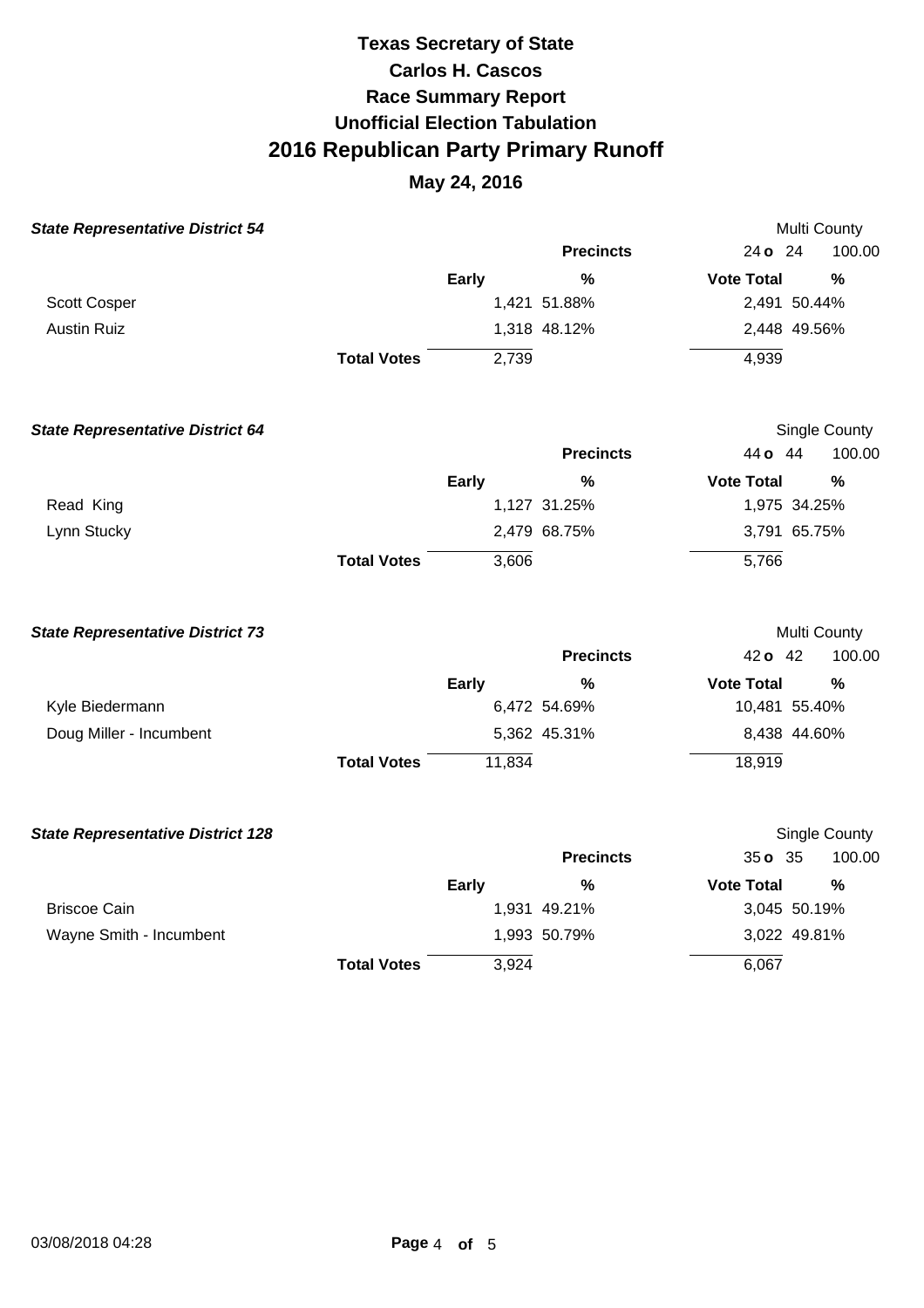| <b>State Representative District 54</b>  |                    |              |                  |                   | Multi County         |
|------------------------------------------|--------------------|--------------|------------------|-------------------|----------------------|
|                                          |                    |              | <b>Precincts</b> | 24 o 24           | 100.00               |
|                                          |                    | <b>Early</b> | $\frac{0}{0}$    | <b>Vote Total</b> | %                    |
| Scott Cosper                             |                    |              | 1,421 51.88%     | 2,491 50.44%      |                      |
| <b>Austin Ruiz</b>                       |                    |              | 1,318 48.12%     | 2,448 49.56%      |                      |
|                                          | <b>Total Votes</b> | 2,739        |                  | 4,939             |                      |
| <b>State Representative District 64</b>  |                    |              |                  |                   | <b>Single County</b> |
|                                          |                    |              | <b>Precincts</b> | 44 o 44           | 100.00               |
|                                          |                    | <b>Early</b> | $\%$             | <b>Vote Total</b> | $\frac{0}{0}$        |
| Read King                                |                    |              | 1,127 31.25%     | 1,975 34.25%      |                      |
| Lynn Stucky                              |                    |              | 2,479 68.75%     | 3,791 65.75%      |                      |
|                                          | <b>Total Votes</b> | 3,606        |                  | 5,766             |                      |
| <b>State Representative District 73</b>  |                    |              |                  |                   | Multi County         |
|                                          |                    |              | <b>Precincts</b> | 42 o 42           | 100.00               |
|                                          |                    | <b>Early</b> | $\frac{0}{0}$    | <b>Vote Total</b> | %                    |
| Kyle Biedermann                          |                    |              | 6,472 54.69%     | 10,481 55.40%     |                      |
| Doug Miller - Incumbent                  |                    |              | 5,362 45.31%     | 8,438 44.60%      |                      |
|                                          | <b>Total Votes</b> | 11,834       |                  | 18,919            |                      |
| <b>State Representative District 128</b> |                    |              |                  |                   | Single County        |
|                                          |                    |              | <b>Precincts</b> | 35 o 35           | 100.00               |
|                                          |                    | Early        | $\frac{0}{0}$    | <b>Vote Total</b> | $\frac{0}{0}$        |
| <b>Briscoe Cain</b>                      |                    |              | 1,931 49.21%     | 3,045 50.19%      |                      |
| Wayne Smith - Incumbent                  |                    |              | 1,993 50.79%     | 3,022 49.81%      |                      |
|                                          | <b>Total Votes</b> | 3,924        |                  | 6,067             |                      |